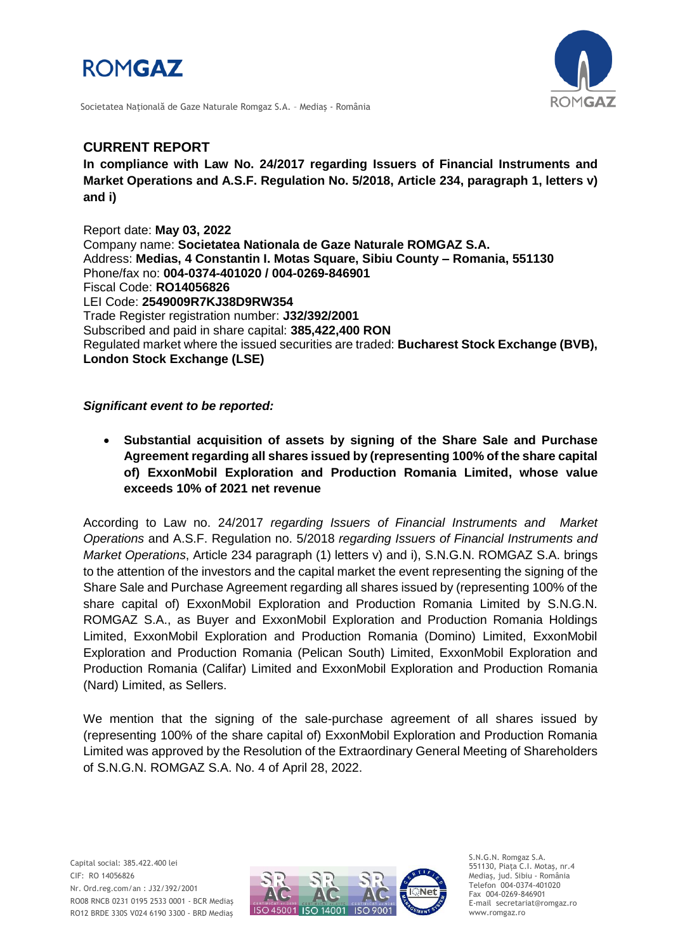



Societatea Naţională de Gaze Naturale Romgaz S.A. – Mediaş - România

## **CURRENT REPORT**

**In compliance with Law No. 24/2017 regarding Issuers of Financial Instruments and Market Operations and A.S.F. Regulation No. 5/2018, Article 234, paragraph 1, letters v) and i)**

Report date: **May 03, 2022** Company name: **Societatea Nationala de Gaze Naturale ROMGAZ S.A.** Address: **Medias, 4 Constantin I. Motas Square, Sibiu County – Romania, 551130** Phone/fax no: **004-0374-401020 / 004-0269-846901** Fiscal Code: **RO14056826** LEI Code: **2549009R7KJ38D9RW354** Trade Register registration number: **J32/392/2001** Subscribed and paid in share capital: **385,422,400 RON** Regulated market where the issued securities are traded: **Bucharest Stock Exchange (BVB), London Stock Exchange (LSE)**

## *Significant event to be reported:*

 **Substantial acquisition of assets by signing of the Share Sale and Purchase Agreement regarding all shares issued by (representing 100% of the share capital of) ExxonMobil Exploration and Production Romania Limited, whose value exceeds 10% of 2021 net revenue**

According to Law no. 24/2017 *regarding Issuers of Financial Instruments and Market Operations* and A.S.F. Regulation no. 5/2018 *regarding Issuers of Financial Instruments and Market Operations*, Article 234 paragraph (1) letters v) and i), S.N.G.N. ROMGAZ S.A. brings to the attention of the investors and the capital market the event representing the signing of the Share Sale and Purchase Agreement regarding all shares issued by (representing 100% of the share capital of) ExxonMobil Exploration and Production Romania Limited by S.N.G.N. ROMGAZ S.A., as Buyer and ExxonMobil Exploration and Production Romania Holdings Limited, ExxonMobil Exploration and Production Romania (Domino) Limited, ExxonMobil Exploration and Production Romania (Pelican South) Limited, ExxonMobil Exploration and Production Romania (Califar) Limited and ExxonMobil Exploration and Production Romania (Nard) Limited, as Sellers.

We mention that the signing of the sale-purchase agreement of all shares issued by (representing 100% of the share capital of) ExxonMobil Exploration and Production Romania Limited was approved by the Resolution of the Extraordinary General Meeting of Shareholders of S.N.G.N. ROMGAZ S.A. No. 4 of April 28, 2022.



S.N.G.N. Romgaz S.A. 551130, Piața C.I. Motaş, nr.4 Mediaş, jud. Sibiu - România Telefon 004-0374-401020 Fax 004-0269-846901 E-mail secretariat@romgaz.ro www.romgaz.ro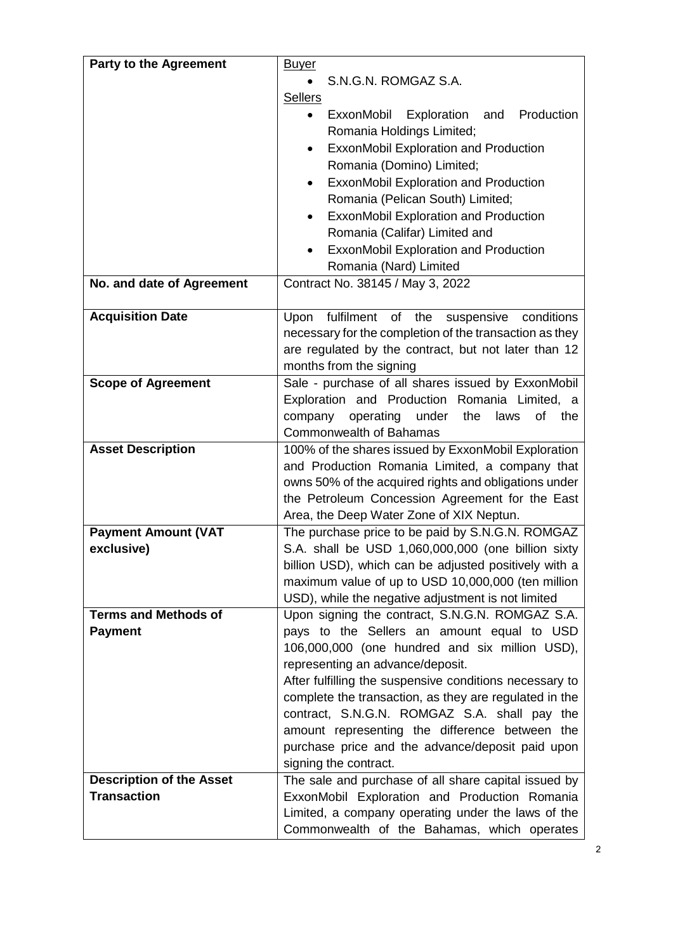| <b>Party to the Agreement</b>   | <u>Buyer</u>                                                                                |
|---------------------------------|---------------------------------------------------------------------------------------------|
|                                 | S.N.G.N. ROMGAZ S.A.                                                                        |
|                                 | <b>Sellers</b>                                                                              |
|                                 | ExxonMobil Exploration<br>and Production                                                    |
|                                 | Romania Holdings Limited;                                                                   |
|                                 | ExxonMobil Exploration and Production                                                       |
|                                 | Romania (Domino) Limited;                                                                   |
|                                 | ExxonMobil Exploration and Production<br>$\bullet$                                          |
|                                 | Romania (Pelican South) Limited;                                                            |
|                                 | ExxonMobil Exploration and Production<br>$\bullet$<br>Romania (Califar) Limited and         |
|                                 |                                                                                             |
|                                 | ExxonMobil Exploration and Production<br>Romania (Nard) Limited                             |
| No. and date of Agreement       | Contract No. 38145 / May 3, 2022                                                            |
|                                 |                                                                                             |
| <b>Acquisition Date</b>         | Upon fulfilment of the suspensive conditions                                                |
|                                 | necessary for the completion of the transaction as they                                     |
|                                 | are regulated by the contract, but not later than 12                                        |
|                                 | months from the signing                                                                     |
| <b>Scope of Agreement</b>       | Sale - purchase of all shares issued by ExxonMobil                                          |
|                                 | Exploration and Production Romania Limited, a                                               |
|                                 | operating<br>under<br>company<br>the<br>laws<br>of<br>the                                   |
| <b>Asset Description</b>        | <b>Commonwealth of Bahamas</b><br>100% of the shares issued by ExxonMobil Exploration       |
|                                 | and Production Romania Limited, a company that                                              |
|                                 | owns 50% of the acquired rights and obligations under                                       |
|                                 | the Petroleum Concession Agreement for the East                                             |
|                                 | Area, the Deep Water Zone of XIX Neptun.                                                    |
| <b>Payment Amount (VAT</b>      | The purchase price to be paid by S.N.G.N. ROMGAZ                                            |
| exclusive)                      | S.A. shall be USD 1,060,000,000 (one billion sixty                                          |
|                                 | billion USD), which can be adjusted positively with a                                       |
|                                 | maximum value of up to USD 10,000,000 (ten million                                          |
|                                 | USD), while the negative adjustment is not limited                                          |
| <b>Terms and Methods of</b>     | Upon signing the contract, S.N.G.N. ROMGAZ S.A.                                             |
| <b>Payment</b>                  | pays to the Sellers an amount equal to USD                                                  |
|                                 | 106,000,000 (one hundred and six million USD),                                              |
|                                 | representing an advance/deposit.<br>After fulfilling the suspensive conditions necessary to |
|                                 | complete the transaction, as they are regulated in the                                      |
|                                 | contract, S.N.G.N. ROMGAZ S.A. shall pay the                                                |
|                                 | amount representing the difference between the                                              |
|                                 | purchase price and the advance/deposit paid upon                                            |
|                                 | signing the contract.                                                                       |
| <b>Description of the Asset</b> | The sale and purchase of all share capital issued by                                        |
| <b>Transaction</b>              | ExxonMobil Exploration and Production Romania                                               |
|                                 | Limited, a company operating under the laws of the                                          |
|                                 | Commonwealth of the Bahamas, which operates                                                 |